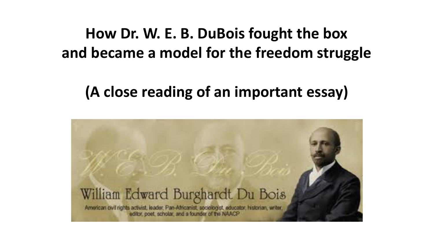#### **How Dr. W. E. B. DuBois fought the box and became a model for the freedom struggle**

#### **(A close reading of an important essay)**

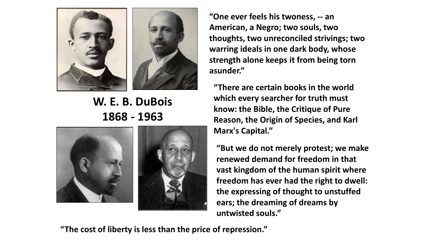

#### **W. E. B. DuBois 1868 - 1963**



**"One ever feels his twoness, -- an American, a Negro; two souls, two thoughts, two unreconciled strivings; two warring ideals in one dark body, whose strength alone keeps it from being torn asunder."** 

**"There are certain books in the world which every searcher for truth must know: the Bible, the Critique of Pure Reason, the Origin of Species, and Karl Marx's Capital."** 

**"But we do not merely protest; we make renewed demand for freedom in that vast kingdom of the human spirit where freedom has ever had the right to dwell: the expressing of thought to unstuffed ears; the dreaming of dreams by untwisted souls."** 

**"The cost of liberty is less than the price of repression."**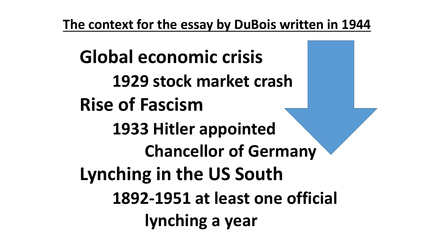**The context for the essay by DuBois written in 1944**

**Global economic crisis 1929 stock market crash Rise of Fascism 1933 Hitler appointed Chancellor of Germany Lynching in the US South 1892-1951 at least one official lynching a year**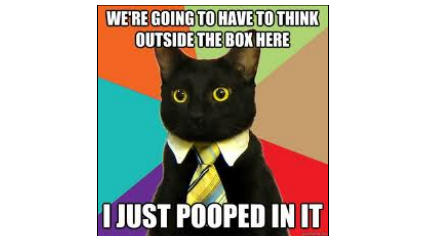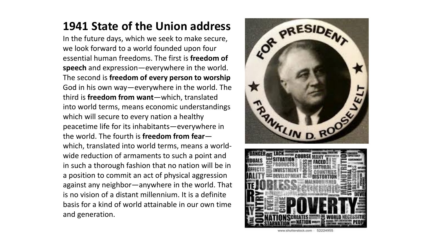#### **1941 State of the Union address**

In the future days, which we seek to make secure, we look forward to a world founded upon four essential human freedoms. The first is **freedom of speech** and expression—everywhere in the world. The second is **freedom of every person to worship**  God in his own way—everywhere in the world. The third is **freedom from want**—which, translated into world terms, means economic understandings which will secure to every nation a healthy peacetime life for its inhabitants—everywhere in the world. The fourth is **freedom from fear** which, translated into world terms, means a worldwide reduction of armaments to such a point and in such a thorough fashion that no nation will be in a position to commit an act of physical aggression against any neighbor—anywhere in the world. That is no vision of a distant millennium. It is a definite basis for a kind of world attainable in our own time and generation.

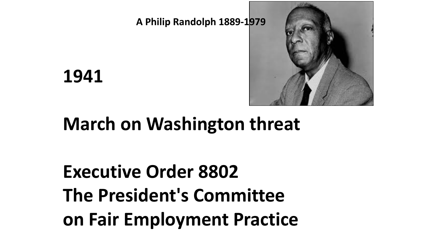**A Philip Randolph 1889-1979**



**1941**

## **March on Washington threat**

# **Executive Order 8802 The President's Committee on Fair Employment Practice**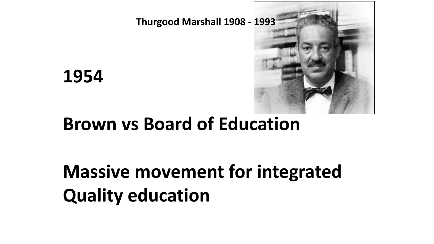

**Thurgood Marshall 1908 - 1993**

**1954**

#### **Brown vs Board of Education**

# **Massive movement for integrated Quality education**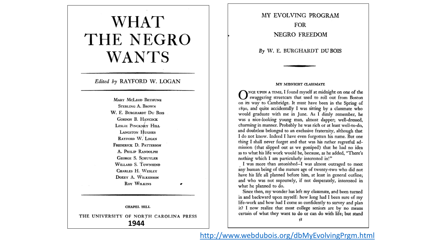#### **WHAT** THE NEGRO **WANTS**

#### Edited by RAYFORD W. LOGAN

**MARY MCLEOD BETHUNE STERLING A. BROWN** W. E. BURGHARDT DU BOIS GORDON B. HANCOCK LESLIE PINCKNEY HILL **LANGSTON HUGHES** RAYFORD W. LOGAN FREDERICK D. PATTERSON A. PHILIP RANDOLPH GEORGE S. SCHUYLER WILLARD S. TOWNSEND CHARLES H. WESLEY DOXEY A. WILKERSON ROY WILKINS

#### CHAPEL HILL

THE UNIVERSITY OF NORTH CAROLINA PRESS **1944**

MY EVOLVING PROGRAM **FOR NEGRO FREEDOM** 

By W. E. BURGHARDT DU BOIS

#### MY MIDNIGHT CLASSMATE

NCE UPON A TIME, I found myself at midnight on one of the swaggering streetcars that used to roll out from Boston on its way to Cambridge. It must have been in the Spring of 1890, and quite accidentally I was sitting by a classmate who would graduate with me in June. As I dimly remember, he was a nice-looking young man, almost dapper; well-dressed, charming in manner. Probably he was rich or at least well-to-do, and doubtless belonged to an exclusive fraternity, although that I do not know. Indeed I have even forgotten his name. But one thing I shall never forget and that was his rather regretful admission (that slipped out as we gossiped) that he had no idea as to what his life work would be, because, as he added, "There's nothing which I am particularly interested in!"

I was more than astonished--I was almost outraged to meet any human being of the mature age of twenty-two who did not have his life all planned before him, at least in general outline; and who was not supremely, if not desperately, interested in what he planned to do.

Since then, my wonder has left my classmate, and been turned in and backward upon myself: how long had I been sure of my life-work and how had I come so confidently to survey and plan it? I now realize that most college seniors are by no means certain of what they want to do or can do with life; but stand

शी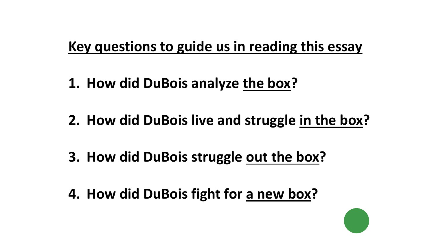#### **Key questions to guide us in reading this essay**

- **1. How did DuBois analyze the box?**
- **2. How did DuBois live and struggle in the box?**
- **3. How did DuBois struggle out the box?**
- **4. How did DuBois fight for a new box?**

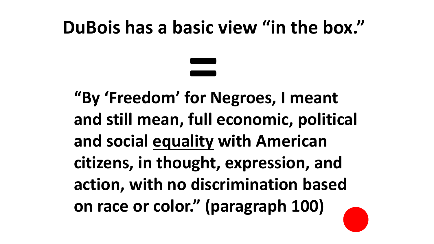### **DuBois has a basic view "in the box."**

**"By 'Freedom' for Negroes, I meant and still mean, full economic, political and social equality with American citizens, in thought, expression, and action, with no discrimination based on race or color." (paragraph 100) =**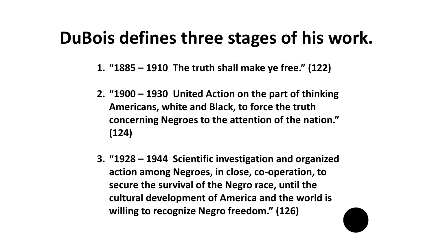#### **DuBois defines three stages of his work.**

- **1. "1885 – 1910 The truth shall make ye free." (122)**
- **2. "1900 – 1930 United Action on the part of thinking Americans, white and Black, to force the truth concerning Negroes to the attention of the nation." (124)**
- **3. "1928 – 1944 Scientific investigation and organized action among Negroes, in close, co-operation, to secure the survival of the Negro race, until the cultural development of America and the world is willing to recognize Negro freedom." (126)**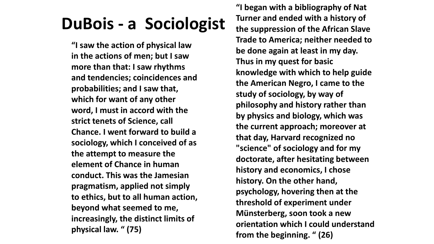### **DuBois - a Sociologist**

**"I saw the action of physical law in the actions of men; but I saw more than that: I saw rhythms and tendencies; coincidences and probabilities; and I saw that, which for want of any other word, I must in accord with the strict tenets of Science, call Chance. I went forward to build a sociology, which I conceived of as the attempt to measure the element of Chance in human conduct. This was the Jamesian pragmatism, applied not simply to ethics, but to all human action, beyond what seemed to me, increasingly, the distinct limits of physical law. " (75)**

**"I began with a bibliography of Nat Turner and ended with a history of the suppression of the African Slave Trade to America; neither needed to be done again at least in my day. Thus in my quest for basic knowledge with which to help guide the American Negro, I came to the study of sociology, by way of philosophy and history rather than by physics and biology, which was the current approach; moreover at that day, Harvard recognized no "science" of sociology and for my doctorate, after hesitating between history and economics, I chose history. On the other hand, psychology, hovering then at the threshold of experiment under Münsterberg, soon took a new orientation which I could understand from the beginning. " (26)**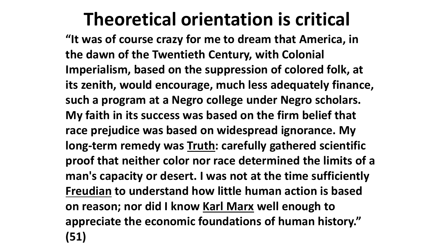## **Theoretical orientation is critical**

**"It was of course crazy for me to dream that America, in the dawn of the Twentieth Century, with Colonial Imperialism, based on the suppression of colored folk, at its zenith, would encourage, much less adequately finance, such a program at a Negro college under Negro scholars. My faith in its success was based on the firm belief that race prejudice was based on widespread ignorance. My long-term remedy was Truth: carefully gathered scientific proof that neither color nor race determined the limits of a man's capacity or desert. I was not at the time sufficiently Freudian to understand how little human action is based on reason; nor did I know Karl Marx well enough to appreciate the economic foundations of human history." (51)**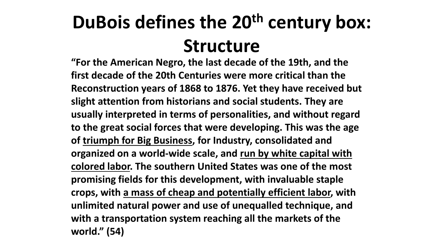# **DuBois defines the 20th century box: Structure**

**"For the American Negro, the last decade of the 19th, and the first decade of the 20th Centuries were more critical than the Reconstruction years of 1868 to 1876. Yet they have received but slight attention from historians and social students. They are usually interpreted in terms of personalities, and without regard to the great social forces that were developing. This was the age of triumph for Big Business, for Industry, consolidated and organized on a world-wide scale, and run by white capital with colored labor. The southern United States was one of the most promising fields for this development, with invaluable staple crops, with a mass of cheap and potentially efficient labor, with unlimited natural power and use of unequalled technique, and with a transportation system reaching all the markets of the world." (54)**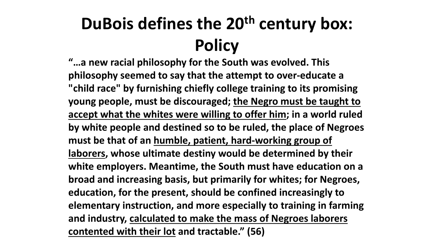## **DuBois defines the 20th century box: Policy**

**"…a new racial philosophy for the South was evolved. This philosophy seemed to say that the attempt to over-educate a "child race" by furnishing chiefly college training to its promising young people, must be discouraged; the Negro must be taught to accept what the whites were willing to offer him; in a world ruled by white people and destined so to be ruled, the place of Negroes must be that of an humble, patient, hard-working group of laborers, whose ultimate destiny would be determined by their white employers. Meantime, the South must have education on a broad and increasing basis, but primarily for whites; for Negroes, education, for the present, should be confined increasingly to elementary instruction, and more especially to training in farming and industry, calculated to make the mass of Negroes laborers contented with their lot and tractable." (56)**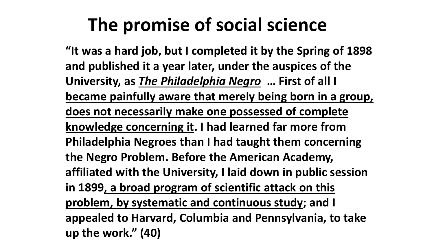## **The promise of social science**

**"It was a hard job, but I completed it by the Spring of 1898 and published it a year later, under the auspices of the University, as** *The Philadelphia Negro* **… First of all I became painfully aware that merely being born in a group, does not necessarily make one possessed of complete knowledge concerning it. I had learned far more from Philadelphia Negroes than I had taught them concerning the Negro Problem. Before the American Academy, affiliated with the University, I laid down in public session in 1899, a broad program of scientific attack on this problem, by systematic and continuous study; and I appealed to Harvard, Columbia and Pennsylvania, to take up the work." (40)**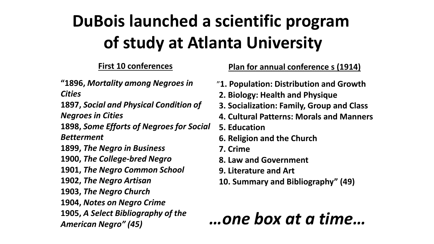## **DuBois launched a scientific program of study at Atlanta University**

**"1896,** *Mortality among Negroes in Cities*

**1897,** *Social and Physical Condition of Negroes in Cities*

**1898,** *Some Efforts of Negroes for Social Betterment*

**1899,** *The Negro in Business*

**1900,** *The College-bred Negro*

**1901,** *The Negro Common School*

**1902,** *The Negro Artisan*

**1903,** *The Negro Church*

**1904,** *Notes on Negro Crime*

**1905,** *A Select Bibliography of the American Negro" (45)*

#### **First 10 conferences Plan for annual conference s (1914)**

- "**1. Population: Distribution and Growth**
- **2. Biology: Health and Physique**
- **3. Socialization: Family, Group and Class**
- **4. Cultural Patterns: Morals and Manners**
- **5. Education**
- **6. Religion and the Church**
- **7. Crime**
- **8. Law and Government**
- **9. Literature and Art**
- **10. Summary and Bibliography" (49)**

#### *…one box at a time…*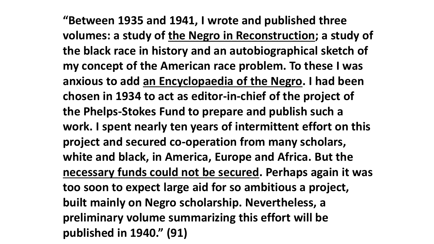**"Between 1935 and 1941, I wrote and published three volumes: a study of the Negro in Reconstruction; a study of the black race in history and an autobiographical sketch of my concept of the American race problem. To these I was anxious to add an Encyclopaedia of the Negro. I had been chosen in 1934 to act as editor-in-chief of the project of the Phelps-Stokes Fund to prepare and publish such a work. I spent nearly ten years of intermittent effort on this project and secured co-operation from many scholars, white and black, in America, Europe and Africa. But the necessary funds could not be secured. Perhaps again it was too soon to expect large aid for so ambitious a project, built mainly on Negro scholarship. Nevertheless, a preliminary volume summarizing this effort will be published in 1940." (91)**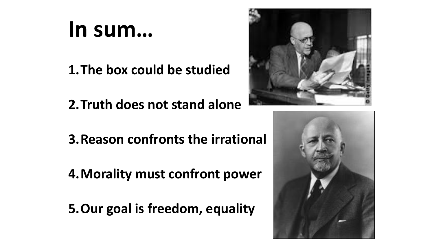# **In sum…**

**1.The box could be studied**

**2.Truth does not stand alone**

**3.Reason confronts the irrational**

**4.Morality must confront power**

**5.Our goal is freedom, equality**



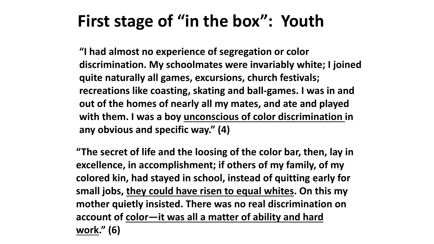#### **First stage of "in the box": Youth**

**"I had almost no experience of segregation or color discrimination. My schoolmates were invariably white; I joined quite naturally all games, excursions, church festivals; recreations like coasting, skating and ball-games. I was in and out of the homes of nearly all my mates, and ate and played with them. I was a boy unconscious of color discrimination in any obvious and specific way." (4)**

**"The secret of life and the loosing of the color bar, then, lay in excellence, in accomplishment; if others of my family, of my colored kin, had stayed in school, instead of quitting early for small jobs, they could have risen to equal whites. On this my mother quietly insisted. There was no real discrimination on account of color—it was all a matter of ability and hard work." (6)**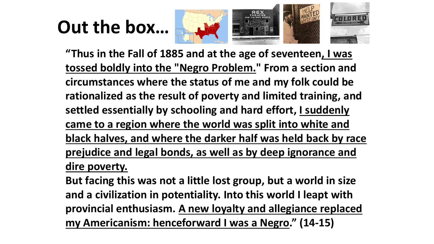## **Out the box…**



**"Thus in the Fall of 1885 and at the age of seventeen, I was tossed boldly into the "Negro Problem." From a section and circumstances where the status of me and my folk could be rationalized as the result of poverty and limited training, and settled essentially by schooling and hard effort, I suddenly came to a region where the world was split into white and black halves, and where the darker half was held back by race prejudice and legal bonds, as well as by deep ignorance and dire poverty.** 

**But facing this was not a little lost group, but a world in size and a civilization in potentiality. Into this world I leapt with provincial enthusiasm. A new loyalty and allegiance replaced my Americanism: henceforward I was a Negro." (14-15)**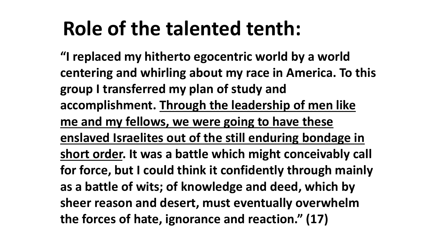# **Role of the talented tenth:**

**"I replaced my hitherto egocentric world by a world centering and whirling about my race in America. To this group I transferred my plan of study and accomplishment. Through the leadership of men like me and my fellows, we were going to have these enslaved Israelites out of the still enduring bondage in short order. It was a battle which might conceivably call for force, but I could think it confidently through mainly as a battle of wits; of knowledge and deed, which by sheer reason and desert, must eventually overwhelm the forces of hate, ignorance and reaction." (17)**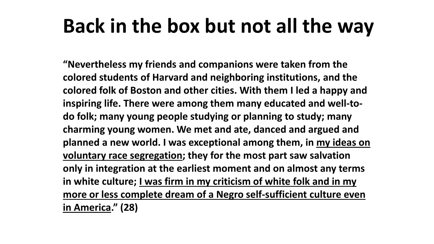# **Back in the box but not all the way**

**"Nevertheless my friends and companions were taken from the colored students of Harvard and neighboring institutions, and the colored folk of Boston and other cities. With them I led a happy and inspiring life. There were among them many educated and well-todo folk; many young people studying or planning to study; many charming young women. We met and ate, danced and argued and planned a new world. I was exceptional among them, in my ideas on voluntary race segregation; they for the most part saw salvation only in integration at the earliest moment and on almost any terms in white culture; I was firm in my criticism of white folk and in my more or less complete dream of a Negro self-sufficient culture even in America." (28)**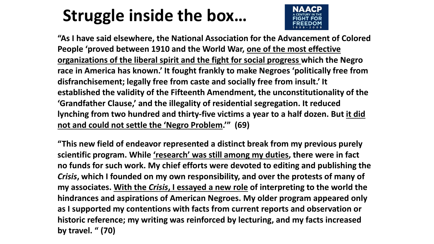### **Struggle inside the box…**



**"As I have said elsewhere, the National Association for the Advancement of Colored People 'proved between 1910 and the World War, one of the most effective organizations of the liberal spirit and the fight for social progress which the Negro race in America has known.' It fought frankly to make Negroes 'politically free from disfranchisement; legally free from caste and socially free from insult.' It established the validity of the Fifteenth Amendment, the unconstitutionality of the 'Grandfather Clause,' and the illegality of residential segregation. It reduced lynching from two hundred and thirty-five victims a year to a half dozen. But it did not and could not settle the 'Negro Problem.'" (69)**

**"This new field of endeavor represented a distinct break from my previous purely scientific program. While 'research' was still among my duties, there were in fact no funds for such work. My chief efforts were devoted to editing and publishing the**  *Crisis***, which I founded on my own responsibility, and over the protests of many of my associates. With the** *Crisis***, I essayed a new role of interpreting to the world the hindrances and aspirations of American Negroes. My older program appeared only as I supported my contentions with facts from current reports and observation or historic reference; my writing was reinforced by lecturing, and my facts increased by travel. " (70)**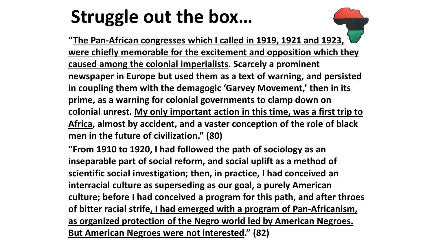# **Struggle out the box…**

**"The Pan-African congresses which I called in 1919, 1921 and 1923, were chiefly memorable for the excitement and opposition which they caused among the colonial imperialists. Scarcely a prominent newspaper in Europe but used them as a text of warning, and persisted in coupling them with the demagogic 'Garvey Movement,' then in its prime, as a warning for colonial governments to clamp down on colonial unrest. My only important action in this time, was a first trip to Africa, almost by accident, and a vaster conception of the role of black men in the future of civilization." (80)**

**"From 1910 to 1920, I had followed the path of sociology as an inseparable part of social reform, and social uplift as a method of scientific social investigation; then, in practice, I had conceived an interracial culture as superseding as our goal, a purely American culture; before I had conceived a program for this path, and after throes of bitter racial strife, I had emerged with a program of Pan-Africanism, as organized protection of the Negro world led by American Negroes. But American Negroes were not interested." (82)**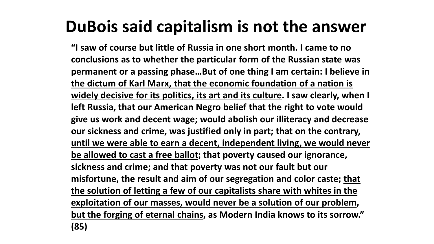### **DuBois said capitalism is not the answer**

**"I saw of course but little of Russia in one short month. I came to no conclusions as to whether the particular form of the Russian state was permanent or a passing phase…But of one thing I am certain: I believe in the dictum of Karl Marx, that the economic foundation of a nation is widely decisive for its politics, its art and its culture. I saw clearly, when I left Russia, that our American Negro belief that the right to vote would give us work and decent wage; would abolish our illiteracy and decrease our sickness and crime, was justified only in part; that on the contrary, until we were able to earn a decent, independent living, we would never be allowed to cast a free ballot; that poverty caused our ignorance, sickness and crime; and that poverty was not our fault but our misfortune, the result and aim of our segregation and color caste; that the solution of letting a few of our capitalists share with whites in the exploitation of our masses, would never be a solution of our problem, but the forging of eternal chains, as Modern India knows to its sorrow." (85)**